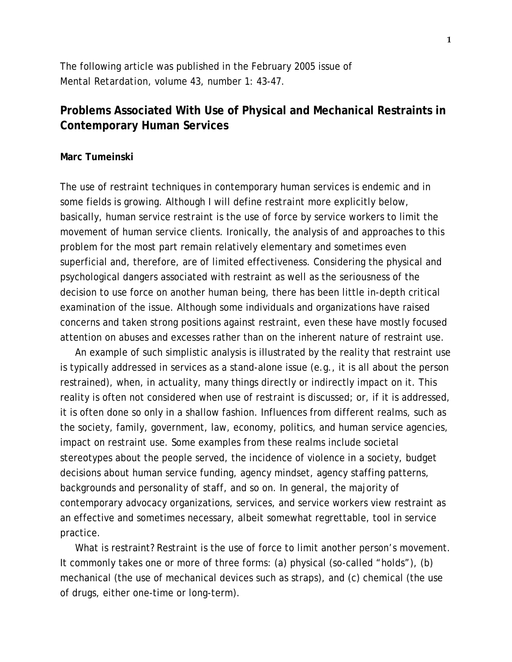The following article was published in the February 2005 issue of *Mental Retardation*, volume 43, number 1: 43-47.

## **Problems Associated With Use of Physical and Mechanical Restraints in Contemporary Human Services**

## **Marc Tumeinski**

The use of restraint techniques in contemporary human services is endemic and in some fields is growing. Although I will define *restraint* more explicitly below, basically, *human service restraint* is the use of force by service workers to limit the movement of human service clients. Ironically, the analysis of and approaches to this problem for the most part remain relatively elementary and sometimes even superficial and, therefore, are of limited effectiveness. Considering the physical and psychological dangers associated with restraint as well as the seriousness of the decision to use force on another human being, there has been little in-depth critical examination of the issue. Although some individuals and organizations have raised concerns and taken strong positions against restraint, even these have mostly focused attention on abuses and excesses rather than on the inherent nature of restraint use.

An example of such simplistic analysis is illustrated by the reality that restraint use is typically addressed in services as a stand-alone issue (e.g., it is all about the person restrained), when, in actuality, many things directly or indirectly impact on it. This reality is often not considered when use of restraint is discussed; or, if it is addressed, it is often done so only in a shallow fashion. Influences from different realms, such as the society, family, government, law, economy, politics, and human service agencies, impact on restraint use. Some examples from these realms include societal stereotypes about the people served, the incidence of violence in a society, budget decisions about human service funding, agency mindset, agency staffing patterns, backgrounds and personality of staff, and so on. In general, the majority of contemporary advocacy organizations, services, and service workers view restraint as an effective and sometimes necessary, albeit somewhat regrettable, tool in service practice.

What is restraint? Restraint is the use of force to limit another person's movement. It commonly takes one or more of three forms: (a) physical (so-called "holds"), (b) mechanical (the use of mechanical devices such as straps), and (c) chemical (the use of drugs, either one-time or long-term).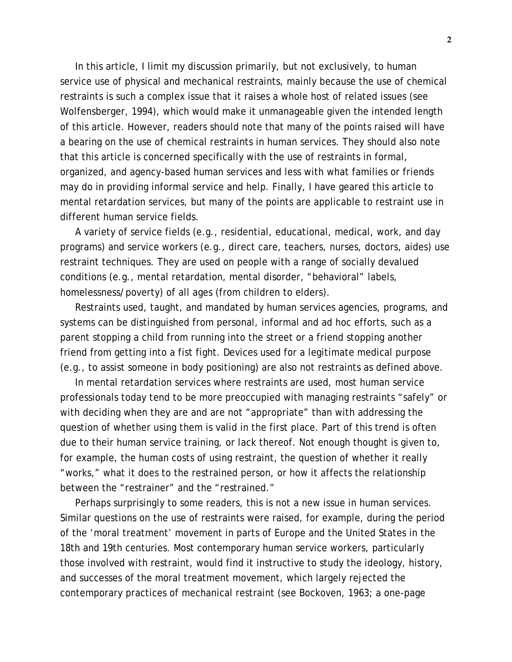In this article, I limit my discussion primarily, but not exclusively, to human service use of physical and mechanical restraints, mainly because the use of chemical restraints is such a complex issue that it raises a whole host of related issues (see Wolfensberger, 1994), which would make it unmanageable given the intended length of this article. However, readers should note that many of the points raised will have a bearing on the use of chemical restraints in human services. They should also note that this article is concerned specifically with the use of restraints in formal, organized, and agency-based human services and less with what families or friends may do in providing informal service and help. Finally, I have geared this article to mental retardation services, but many of the points are applicable to restraint use in different human service fields.

A variety of service fields (e.g., residential, educational, medical, work, and day programs) and service workers (e.g., direct care, teachers, nurses, doctors, aides) use restraint techniques. They are used on people with a range of socially devalued conditions (e.g., mental retardation, mental disorder, "behavioral" labels, homelessness/poverty) of all ages (from children to elders).

Restraints used, taught, and mandated by human services agencies, programs, and systems can be distinguished from personal, informal and ad hoc efforts, such as a parent stopping a child from running into the street or a friend stopping another friend from getting into a fist fight. Devices used for a legitimate medical purpose (e.g., to assist someone in body positioning) are also not restraints as defined above.

In mental retardation services where restraints are used, most human service professionals today tend to be more preoccupied with managing restraints "safely" or with deciding when they are and are not "appropriate" than with addressing the question of whether using them is valid in the first place. Part of this trend is often due to their human service training, or lack thereof. Not enough thought is given to, for example, the human costs of using restraint, the question of whether it really "works," what it does to the restrained person, or how it affects the relationship between the "restrainer" and the "restrained."

Perhaps surprisingly to some readers, this is not a new issue in human services. Similar questions on the use of restraints were raised, for example, during the period of the 'moral treatment' movement in parts of Europe and the United States in the 18th and 19th centuries. Most contemporary human service workers, particularly those involved with restraint, would find it instructive to study the ideology, history, and successes of the moral treatment movement, which largely rejected the contemporary practices of mechanical restraint (see Bockoven, 1963; a one-page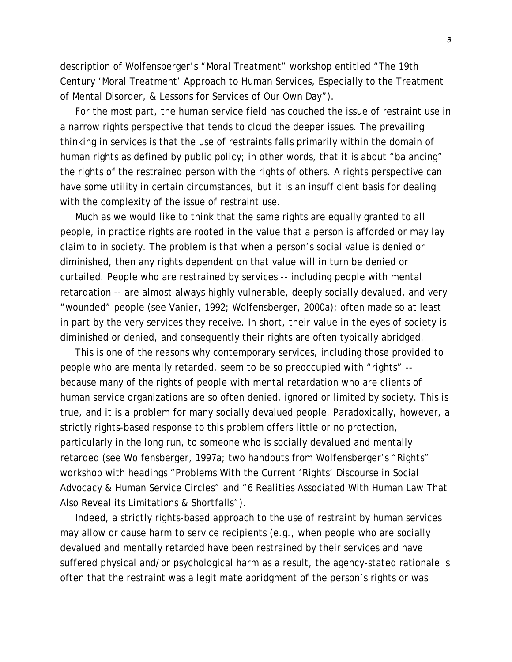description of Wolfensberger's "Moral Treatment" workshop entitled "The 19th Century 'Moral Treatment' Approach to Human Services, Especially to the Treatment of Mental Disorder, & Lessons for Services of Our Own Day").

For the most part, the human service field has couched the issue of restraint use in a narrow rights perspective that tends to cloud the deeper issues. The prevailing thinking in services is that the use of restraints falls primarily within the domain of human rights as defined by public policy; in other words, that it is about "balancing" the rights of the restrained person with the rights of others. A rights perspective can have some utility in certain circumstances, but it is an insufficient basis for dealing with the complexity of the issue of restraint use.

Much as we would like to think that the same rights are equally granted to all people, in practice rights are rooted in the value that a person is afforded or may lay claim to in society. The problem is that when a person's social value is denied or diminished, then any rights dependent on that value will in turn be denied or curtailed. People who are restrained by services -- including people with mental retardation -- are almost always highly vulnerable, deeply socially devalued, and very "wounded" people (see Vanier, 1992; Wolfensberger, 2000a); often made so at least in part by the very services they receive. In short, their value in the eyes of society is diminished or denied, and consequently their rights are often typically abridged.

This is one of the reasons why contemporary services, including those provided to people who are mentally retarded, seem to be so preoccupied with "rights" - because many of the rights of people with mental retardation who are clients of human service organizations are so often denied, ignored or limited by society. This is true, and it is a problem for many socially devalued people. Paradoxically, however, a strictly rights-based response to this problem offers little or no protection, particularly in the long run, to someone who is socially devalued and mentally retarded (see Wolfensberger, 1997a; two handouts from Wolfensberger's "Rights" workshop with headings "Problems With the Current 'Rights' Discourse in Social Advocacy & Human Service Circles" and "6 Realities Associated With Human Law That Also Reveal its Limitations & Shortfalls").

Indeed, a strictly rights-based approach to the use of restraint by human services may allow or cause harm to service recipients (e.g., when people who are socially devalued and mentally retarded have been restrained by their services and have suffered physical and/or psychological harm as a result, the agency-stated rationale is often that the restraint was a legitimate abridgment of the person's rights or was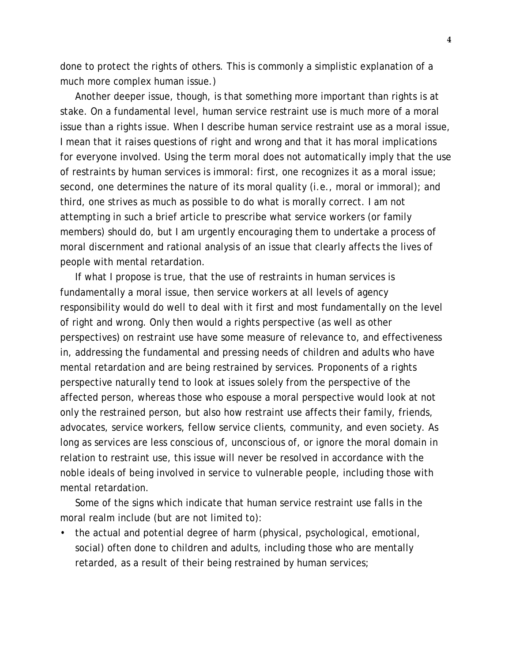done to protect the rights of others. This is commonly a simplistic explanation of a much more complex human issue.)

Another deeper issue, though, is that something more important than rights is at stake. On a fundamental level, human service restraint use is much more of a moral issue than a rights issue. When I describe human service restraint use as a moral issue, I mean that it raises questions of right and wrong and that it has moral implications for everyone involved. Using the term *moral* does not automatically imply that the use of restraints by human services is immoral: first, one recognizes it as a moral issue; second, one determines the nature of its moral quality (i.e., moral or immoral); and third, one strives as much as possible to do what is morally correct. I am not attempting in such a brief article to prescribe what service workers (or family members) should do, but I am urgently encouraging them to undertake a process of moral discernment and rational analysis of an issue that clearly affects the lives of people with mental retardation.

If what I propose is true, that the use of restraints in human services is fundamentally a moral issue, then service workers at all levels of agency responsibility would do well to deal with it first and most fundamentally on the level of right and wrong. Only then would a rights perspective (as well as other perspectives) on restraint use have some measure of relevance to, and effectiveness in, addressing the fundamental and pressing needs of children and adults who have mental retardation and are being restrained by services. Proponents of a rights perspective naturally tend to look at issues solely from the perspective of the affected person, whereas those who espouse a moral perspective would look at not only the restrained person, but also how restraint use affects their family, friends, advocates, service workers, fellow service clients, community, and even society. As long as services are less conscious of, unconscious of, or ignore the moral domain in relation to restraint use, this issue will never be resolved in accordance with the noble ideals of being involved in service to vulnerable people, including those with mental retardation.

Some of the signs which indicate that human service restraint use falls in the moral realm include (but are not limited to):

• the actual and potential degree of harm (physical, psychological, emotional, social) often done to children and adults, including those who are mentally retarded, as a result of their being restrained by human services;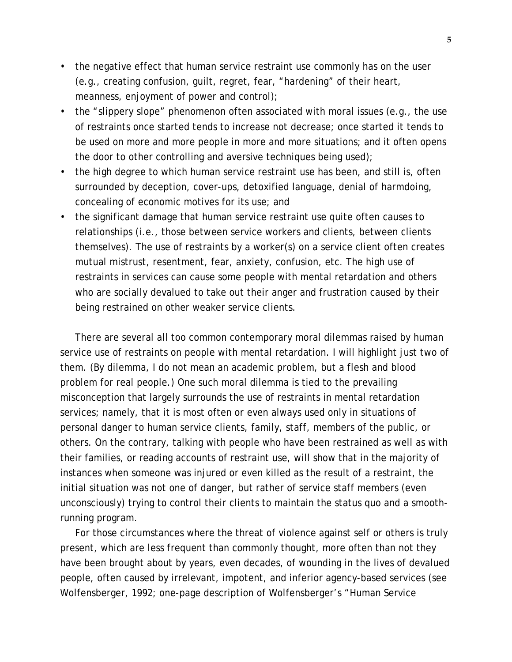- the negative effect that human service restraint use commonly has on the user (e.g., creating confusion, guilt, regret, fear, "hardening" of their heart, meanness, enjoyment of power and control);
- the "slippery slope" phenomenon often associated with moral issues (e.g., the use of restraints once started tends to increase not decrease; once started it tends to be used on more and more people in more and more situations; and it often opens the door to other controlling and aversive techniques being used);
- the high degree to which human service restraint use has been, and still is, often surrounded by deception, cover-ups, detoxified language, denial of harmdoing, concealing of economic motives for its use; and
- the significant damage that human service restraint use quite often causes to relationships (i.e., those between service workers and clients, between clients themselves). The use of restraints by a worker(s) on a service client often creates mutual mistrust, resentment, fear, anxiety, confusion, etc. The high use of restraints in services can cause some people with mental retardation and others who are socially devalued to take out their anger and frustration caused by their being restrained on other weaker service clients.

There are several all too common contemporary moral dilemmas raised by human service use of restraints on people with mental retardation. I will highlight just two of them. (By dilemma, I do not mean an academic problem, but a flesh and blood problem for real people.) One such moral dilemma is tied to the prevailing misconception that largely surrounds the use of restraints in mental retardation services; namely, that it is most often or even always used only in situations of personal danger to human service clients, family, staff, members of the public, or others. On the contrary, talking with people who have been restrained as well as with their families, or reading accounts of restraint use, will show that in the majority of instances when someone was injured or even killed as the result of a restraint, the initial situation was not one of danger, but rather of service staff members (even unconsciously) trying to control their clients to maintain the status quo and a smoothrunning program.

For those circumstances where the threat of violence against self or others is truly present, which are less frequent than commonly thought, more often than not they have been brought about by years, even decades, of wounding in the lives of devalued people, often caused by irrelevant, impotent, and inferior agency-based services (see Wolfensberger, 1992; one-page description of Wolfensberger's "Human Service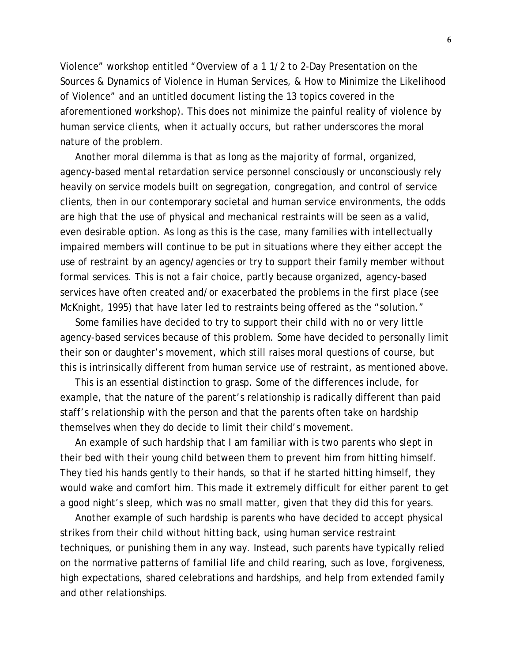Violence" workshop entitled "Overview of a 1 1/2 to 2-Day Presentation on the Sources & Dynamics of Violence in Human Services, & How to Minimize the Likelihood of Violence" and an untitled document listing the 13 topics covered in the aforementioned workshop). This does not minimize the painful reality of violence by human service clients, when it actually occurs, but rather underscores the moral nature of the problem.

Another moral dilemma is that as long as the majority of formal, organized, agency-based mental retardation service personnel consciously or unconsciously rely heavily on service models built on segregation, congregation, and control of service clients, then in our contemporary societal and human service environments, the odds are high that the use of physical and mechanical restraints will be seen as a valid, even desirable option. As long as this is the case, many families with intellectually impaired members will continue to be put in situations where they either accept the use of restraint by an agency/agencies or try to support their family member without formal services. This is not a fair choice, partly because organized, agency-based services have often created and/or exacerbated the problems in the first place (see McKnight, 1995) that have later led to restraints being offered as the "solution."

Some families have decided to try to support their child with no or very little agency-based services because of this problem. Some have decided to personally limit their son or daughter's movement, which still raises moral questions of course, but this is intrinsically different from human service use of restraint, as mentioned above.

This is an essential distinction to grasp. Some of the differences include, for example, that the nature of the parent's relationship is radically different than paid staff's relationship with the person and that the parents often take on hardship themselves when they do decide to limit their child's movement.

An example of such hardship that I am familiar with is two parents who slept in their bed with their young child between them to prevent him from hitting himself. They tied his hands gently to their hands, so that if he started hitting himself, they would wake and comfort him. This made it extremely difficult for either parent to get a good night's sleep, which was no small matter, given that they did this for years.

Another example of such hardship is parents who have decided to accept physical strikes from their child without hitting back, using human service restraint techniques, or punishing them in any way. Instead, such parents have typically relied on the normative patterns of familial life and child rearing, such as love, forgiveness, high expectations, shared celebrations and hardships, and help from extended family and other relationships.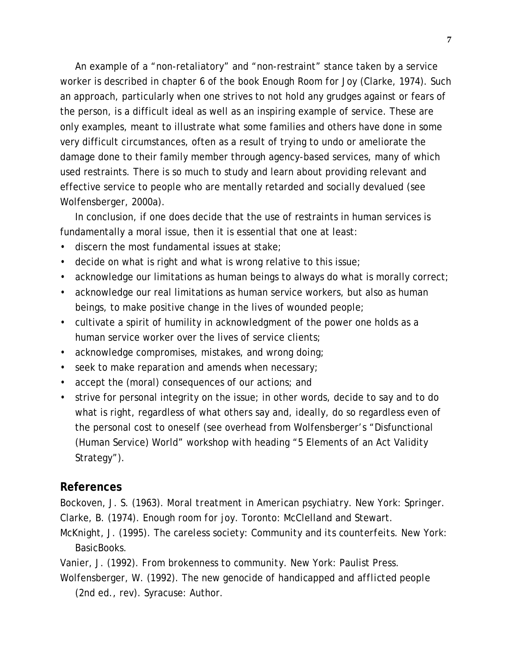An example of a "non-retaliatory" and "non-restraint" stance taken by a service worker is described in chapter 6 of the book *Enough Room for Joy* (Clarke, 1974). Such an approach, particularly when one strives to not hold any grudges against or fears of the person, is a difficult ideal as well as an inspiring example of service. These are only examples, meant to illustrate what some families and others have done in some very difficult circumstances, often as a result of trying to undo or ameliorate the damage done to their family member through agency-based services, many of which used restraints. There is so much to study and learn about providing relevant and effective service to people who are mentally retarded and socially devalued (see Wolfensberger, 2000a).

In conclusion, if one does decide that the use of restraints in human services is fundamentally a moral issue, then it is essential that one at least:

- discern the most fundamental issues at stake;
- decide on what is right and what is wrong relative to this issue;
- acknowledge our limitations as human beings to always do what is morally correct;
- acknowledge our real limitations as human service workers, but also as human beings, to make positive change in the lives of wounded people;
- cultivate a spirit of humility in acknowledgment of the power one holds as a human service worker over the lives of service clients;
- acknowledge compromises, mistakes, and wrong doing;
- seek to make reparation and amends when necessary;
- accept the (moral) consequences of our actions; and
- strive for personal integrity on the issue; in other words, decide to say and to do what is right, regardless of what others say and, ideally, do so regardless even of the personal cost to oneself (see overhead from Wolfensberger's "Disfunctional (Human Service) World" workshop with heading "5 Elements of an Act Validity Strategy").

## **References**

Bockoven, J. S. (1963). *Moral treatment in American psychiatry*. New York: Springer. Clarke, B. (1974). *Enough room for joy*. Toronto: McClelland and Stewart.

- McKnight, J. (1995). *The careless society: Community and its counterfeits*. New York: BasicBooks.
- Vanier, J. (1992). *From brokenness to community*. New York: Paulist Press.
- Wolfensberger, W. (1992). *The new genocide of handicapped and afflicted people* (2nd ed., rev). Syracuse: Author.